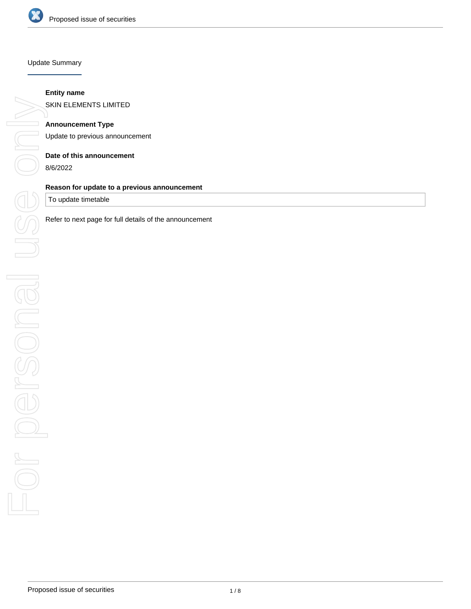

#### Update Summary

## **Entity name**

SKIN ELEMENTS LIMITED

## **Announcement Type**

Update to previous announcement

#### **Date of this announcement**

8/6/2022

# **Reason for update to a previous announcement**

To update timetable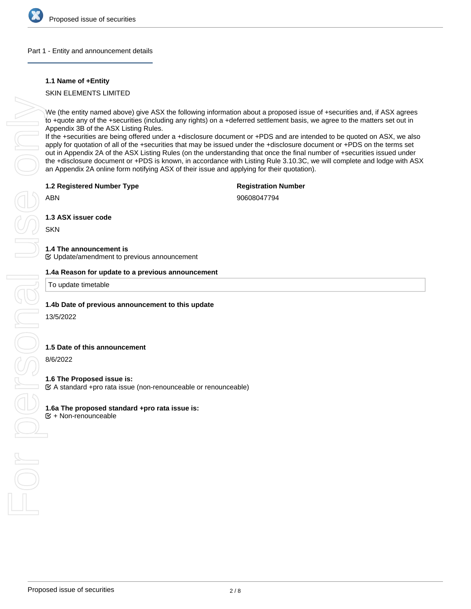

### Part 1 - Entity and announcement details

## **1.1 Name of +Entity**

## SKIN ELEMENTS LIMITED

We (the entity named above) give ASX the following information about a proposed issue of +securities and, if ASX agrees to +quote any of the +securities (including any rights) on a +deferred settlement basis, we agree to the matters set out in Appendix 3B of the ASX Listing Rules.

If the +securities are being offered under a +disclosure document or +PDS and are intended to be quoted on ASX, we also apply for quotation of all of the +securities that may be issued under the +disclosure document or +PDS on the terms set out in Appendix 2A of the ASX Listing Rules (on the understanding that once the final number of +securities issued under the +disclosure document or +PDS is known, in accordance with Listing Rule 3.10.3C, we will complete and lodge with ASX an Appendix 2A online form notifying ASX of their issue and applying for their quotation).

#### **1.2 Registered Number Type**

# **Registration Number**

ABN

90608047794

**1.3 ASX issuer code**

**SKN** 

### **1.4 The announcement is**

Update/amendment to previous announcement

To update timetable

## **1.4b Date of previous announcement to this update**

13/5/2022

## **1.5 Date of this announcement**

8/6/2022

### **1.6 The Proposed issue is:**

A standard +pro rata issue (non-renounceable or renounceable)

# **1.6a The proposed standard +pro rata issue is:**

 $E$  + Non-renounceable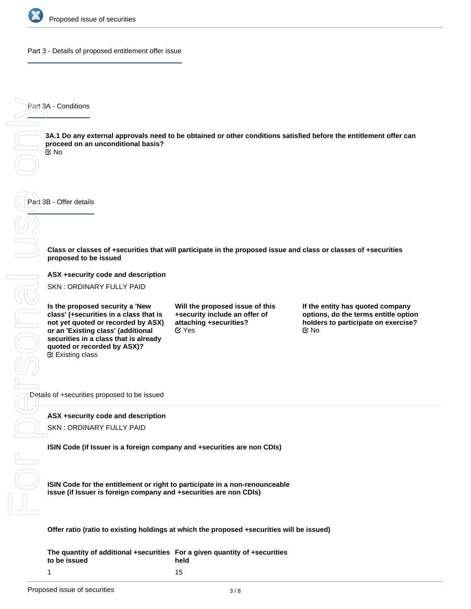

Part 3 - Details of proposed entitlement offer issue

Part 3A - Conditions For personal use only

**3A.1 Do any external approvals need to be obtained or other conditions satisfied before the entitlement offer can proceed on an unconditional basis?** No

Part 3B - Offer details

BONG

**Class or classes of +securities that will participate in the proposed issue and class or classes of +securities proposed to be issued**

**ASX +security code and description**

SKN : ORDINARY FULLY PAID

**Is the proposed security a 'New class' (+securities in a class that is not yet quoted or recorded by ASX) or an 'Existing class' (additional securities in a class that is already quoted or recorded by ASX)?** Existing class

**Will the proposed issue of this +security include an offer of attaching +securities?**  $\mathfrak{C}$  Yes  $\mathfrak{C}$  No

**If the entity has quoted company options, do the terms entitle option holders to participate on exercise?**

Details of +securities proposed to be issued

### **ASX +security code and description**

SKN : ORDINARY FULLY PAID

**ISIN Code (if Issuer is a foreign company and +securities are non CDIs)**

**ISIN Code for the entitlement or right to participate in a non-renounceable issue (if Issuer is foreign company and +securities are non CDIs)**

**Offer ratio (ratio to existing holdings at which the proposed +securities will be issued)**

**The quantity of additional +securities For a given quantity of +securities to be issued** 1 **held** 15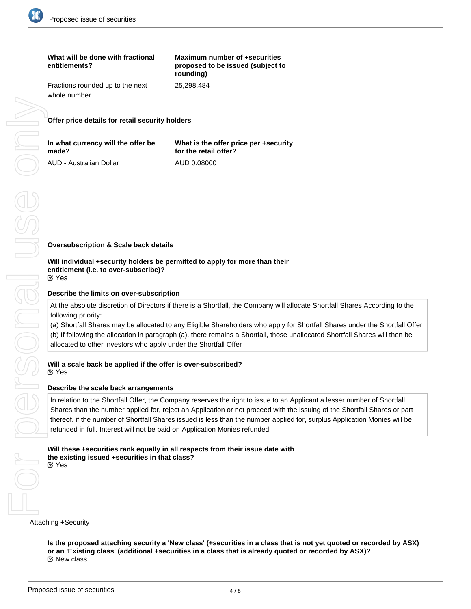

| What will be done with fractional<br>entitlements? | Maximum number of +securities<br>proposed to be issued (subject to<br>rounding) |
|----------------------------------------------------|---------------------------------------------------------------------------------|
| Fractions rounded up to the next<br>whole number   | 25,298,484                                                                      |
|                                                    |                                                                                 |

**Offer price details for retail security holders**

| In what currency will the offer be | What is the offer price per +security |
|------------------------------------|---------------------------------------|
| made?                              | for the retail offer?                 |
| AUD - Australian Dollar            | AUD 0.08000                           |

**Oversubscription & Scale back details**

#### **Will individual +security holders be permitted to apply for more than their entitlement (i.e. to over-subscribe)?** Yes

## **Describe the limits on over-subscription**

At the absolute discretion of Directors if there is a Shortfall, the Company will allocate Shortfall Shares According to the following priority:

(a) Shortfall Shares may be allocated to any Eligible Shareholders who apply for Shortfall Shares under the Shortfall Offer. (b) If following the allocation in paragraph (a), there remains a Shortfall, those unallocated Shortfall Shares will then be allocated to other investors who apply under the Shortfall Offer

### **Will a scale back be applied if the offer is over-subscribed?** Yes

### **Describe the scale back arrangements**

In relation to the Shortfall Offer, the Company reserves the right to issue to an Applicant a lesser number of Shortfall Shares than the number applied for, reject an Application or not proceed with the issuing of the Shortfall Shares or part thereof. if the number of Shortfall Shares issued is less than the number applied for, surplus Application Monies will be refunded in full. Interest will not be paid on Application Monies refunded.

#### **Will these +securities rank equally in all respects from their issue date with the existing issued +securities in that class?** Yes

Attaching +Security

**Is the proposed attaching security a 'New class' (+securities in a class that is not yet quoted or recorded by ASX) or an 'Existing class' (additional +securities in a class that is already quoted or recorded by ASX)?** New class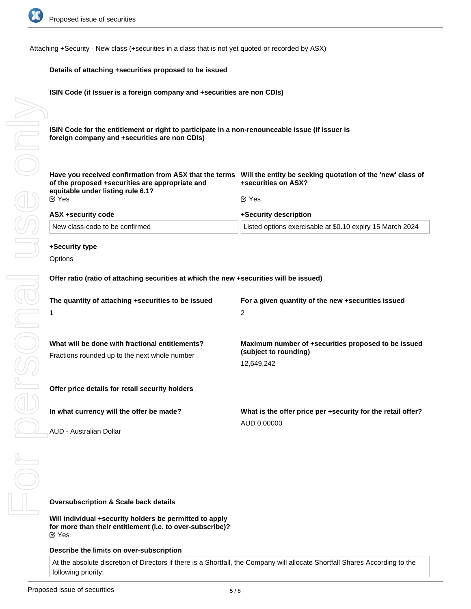

Attaching +Security - New class (+securities in a class that is not yet quoted or recorded by ASX)

|  | Details of attaching +securities proposed to be issued                                                                                                                                                                      |                                                                              |  |
|--|-----------------------------------------------------------------------------------------------------------------------------------------------------------------------------------------------------------------------------|------------------------------------------------------------------------------|--|
|  | ISIN Code (if Issuer is a foreign company and +securities are non CDIs)<br>ISIN Code for the entitlement or right to participate in a non-renounceable issue (if Issuer is<br>foreign company and +securities are non CDIs) |                                                                              |  |
|  |                                                                                                                                                                                                                             |                                                                              |  |
|  | Have you received confirmation from ASX that the terms Will the entity be seeking quotation of the 'new' class of<br>of the proposed +securities are appropriate and<br>equitable under listing rule 6.1?                   | +securities on ASX?                                                          |  |
|  | $\mathfrak{C}$ Yes                                                                                                                                                                                                          | $\mathfrak{C}$ Yes                                                           |  |
|  | ASX +security code                                                                                                                                                                                                          | +Security description                                                        |  |
|  | New class-code to be confirmed                                                                                                                                                                                              | Listed options exercisable at \$0.10 expiry 15 March 2024                    |  |
|  | +Security type                                                                                                                                                                                                              |                                                                              |  |
|  | Options                                                                                                                                                                                                                     |                                                                              |  |
|  | Offer ratio (ratio of attaching securities at which the new +securities will be issued)<br>The quantity of attaching +securities to be issued                                                                               | For a given quantity of the new +securities issued                           |  |
|  | 1                                                                                                                                                                                                                           | $\overline{2}$                                                               |  |
|  |                                                                                                                                                                                                                             |                                                                              |  |
|  | What will be done with fractional entitlements?<br>Fractions rounded up to the next whole number                                                                                                                            | Maximum number of +securities proposed to be issued<br>(subject to rounding) |  |
|  |                                                                                                                                                                                                                             | 12,649,242                                                                   |  |
|  | Offer price details for retail security holders                                                                                                                                                                             |                                                                              |  |
|  | In what currency will the offer be made?                                                                                                                                                                                    | What is the offer price per +security for the retail offer?                  |  |
|  | AUD - Australian Dollar                                                                                                                                                                                                     | AUD 0.00000                                                                  |  |
|  |                                                                                                                                                                                                                             |                                                                              |  |
|  |                                                                                                                                                                                                                             |                                                                              |  |
|  | <b>Oversubscription &amp; Scale back details</b>                                                                                                                                                                            |                                                                              |  |

**Will individual +security holders be permitted to apply for more than their entitlement (i.e. to over-subscribe)?** Yes

#### **Describe the limits on over-subscription**

At the absolute discretion of Directors if there is a Shortfall, the Company will allocate Shortfall Shares According to the following priority: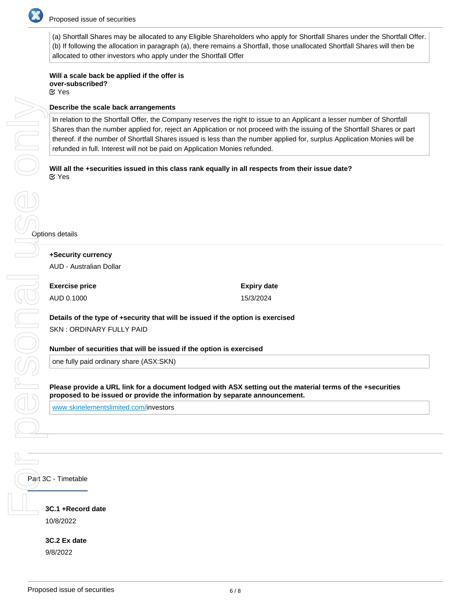

(a) Shortfall Shares may be allocated to any Eligible Shareholders who apply for Shortfall Shares under the Shortfall Offer. (b) If following the allocation in paragraph (a), there remains a Shortfall, those unallocated Shortfall Shares will then be allocated to other investors who apply under the Shortfall Offer

# **Will a scale back be applied if the offer is over-subscribed?**

Yes

## **Describe the scale back arrangements**

In relation to the Shortfall Offer, the Company reserves the right to issue to an Applicant a lesser number of Shortfall Shares than the number applied for, reject an Application or not proceed with the issuing of the Shortfall Shares or part thereof. if the number of Shortfall Shares issued is less than the number applied for, surplus Application Monies will be refunded in full. Interest will not be paid on Application Monies refunded.

**Will all the +securities issued in this class rank equally in all respects from their issue date?** Yes

**+Security currency** AUD - Australian Dollar

**Exercise price** AUD 0.1000

**Expiry date** 15/3/2024

**Details of the type of +security that will be issued if the option is exercised** SKN : ORDINARY FULLY PAID

**Number of securities that will be issued if the option is exercised**

one fully paid ordinary share (ASX:SKN)

**Please provide a URL link for a document lodged with ASX setting out the material terms of the +securities proposed to be issued or provide the information by separate announcement.**

[www.skinelementslimited.com/i](http://www.skinelementslimited.com/)nvestors

Part 3C - Timetable

**3C.1 +Record date** 10/8/2022

**3C.2 Ex date** 9/8/2022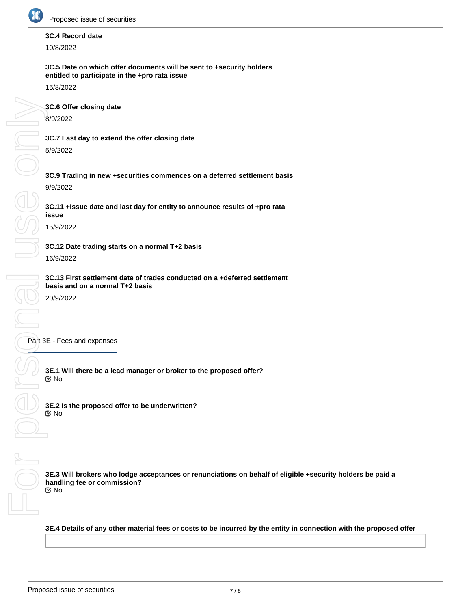

# **3C.4 Record date**

10/8/2022

## **3C.5 Date on which offer documents will be sent to +security holders entitled to participate in the +pro rata issue**

15/8/2022

**3C.6 Offer closing date** 8/9/2022

**3C.7 Last day to extend the offer closing date** 5/9/2022

**3C.9 Trading in new +securities commences on a deferred settlement basis** 9/9/2022

**3C.11 +Issue date and last day for entity to announce results of +pro rata issue**

15/9/2022

**3C.12 Date trading starts on a normal T+2 basis** 16/9/2022

**3C.13 First settlement date of trades conducted on a +deferred settlement basis and on a normal T+2 basis**

20/9/2022

Part 3E - Fees and expenses

**3E.1 Will there be a lead manager or broker to the proposed offer?** No

**3E.2 Is the proposed offer to be underwritten?** No

**3E.3 Will brokers who lodge acceptances or renunciations on behalf of eligible +security holders be paid a handling fee or commission?** No

**3E.4 Details of any other material fees or costs to be incurred by the entity in connection with the proposed offer**